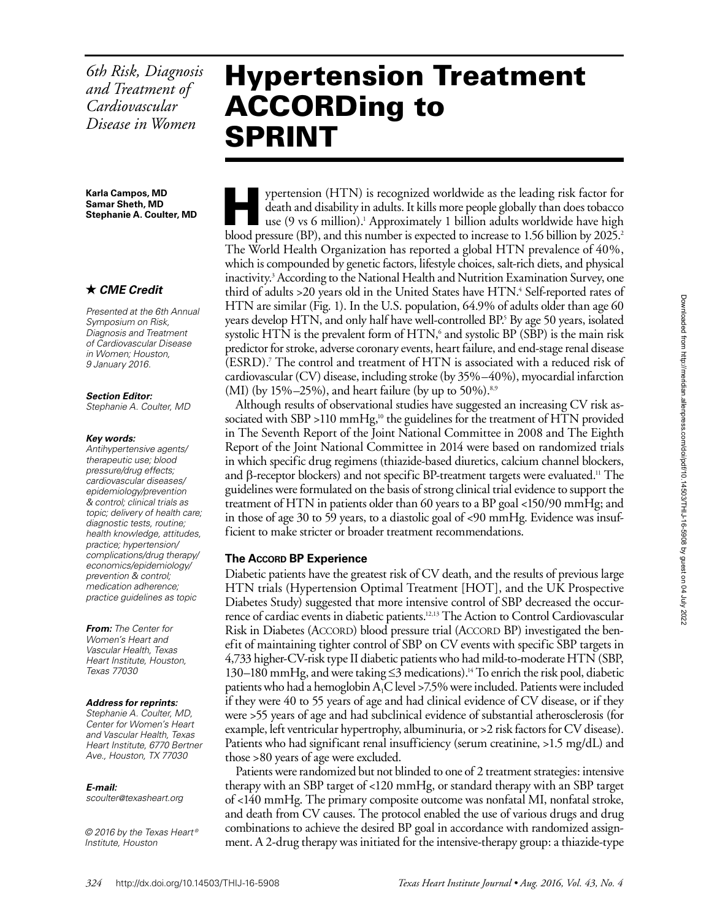*6th Risk, Diagnosis and Treatment of Cardiovascular Disease in Women*

**Karla Campos, MD Samar Sheth, MD Stephanie A. Coulter, MD**

# *CME Credit*

*Presented at the 6th Annual Symposium on Risk, Diagnosis and Treatment of Cardiovascular Disease in Women; Houston, 9 January 2016.*

*Section Editor:*

*Stephanie A. Coulter, MD*

### *Key words:*

*Antihypertensive agents/ therapeutic use; blood pressure/drug effects; cardiovascular diseases/ epidemiology/prevention & control; clinical trials as topic; delivery of health care; diagnostic tests, routine; health knowledge, attitudes, practice; hypertension/ complications/drug therapy/ economics/epidemiology/ prevention & control; medication adherence; practice guidelines as topic*

*From: The Center for Women's Heart and Vascular Health, Texas Heart Institute, Houston, Texas 77030*

#### *Address for reprints:*

*Stephanie A. Coulter, MD, Center for Women's Heart and Vascular Health, Texas Heart Institute, 6770 Bertner Ave., Houston, TX 77030*

### *E-mail:*

*scoulter@texasheart.org*

*© 2016 by the Texas Heart ® Institute, Houston*

# Hypertension Treatment ACCORDing to SPRINT

ypertension (HTN) is recognized worldwide as the leading risk factor for death and disability in adults. It kills more people globally than does tobacco use (9 vs 6 million).<sup>1</sup> Approximately 1 billion adults worldwide have high blood pressure (BP), and this number is expected to increase to 1.56 billion by 2025.<sup>2</sup> The World Health Organization has reported a global HTN prevalence of 40%, which is compounded by genetic factors, lifestyle choices, salt-rich diets, and physical inactivity.3 According to the National Health and Nutrition Examination Survey, one third of adults >20 years old in the United States have HTN.<sup>4</sup> Self-reported rates of HTN are similar (Fig. 1). In the U.S. population, 64.9% of adults older than age 60 years develop HTN, and only half have well-controlled BP.<sup>5</sup> By age 50 years, isolated systolic HTN is the prevalent form of HTN,<sup>6</sup> and systolic BP (SBP) is the main risk predictor for stroke, adverse coronary events, heart failure, and end-stage renal disease (ESRD).7 The control and treatment of HTN is associated with a reduced risk of cardiovascular (CV) disease, including stroke (by 35%–40%), myocardial infarction (MI) (by 15%–25%), and heart failure (by up to 50%).<sup>8,9</sup>

Although results of observational studies have suggested an increasing CV risk associated with SBP >110 mmHg,<sup>10</sup> the guidelines for the treatment of HTN provided in The Seventh Report of the Joint National Committee in 2008 and The Eighth Report of the Joint National Committee in 2014 were based on randomized trials in which specific drug regimens (thiazide-based diuretics, calcium channel blockers, and  $\beta$ -receptor blockers) and not specific BP-treatment targets were evaluated.<sup>11</sup> The guidelines were formulated on the basis of strong clinical trial evidence to support the treatment of HTN in patients older than 60 years to a BP goal <150/90 mmHg; and in those of age 30 to 59 years, to a diastolic goal of <90 mmHg. Evidence was insufficient to make stricter or broader treatment recommendations.

## **The Accord BP Experience**

Diabetic patients have the greatest risk of CV death, and the results of previous large HTN trials (Hypertension Optimal Treatment [HOT], and the UK Prospective Diabetes Study) suggested that more intensive control of SBP decreased the occurrence of cardiac events in diabetic patients.12,13 The Action to Control Cardiovascular Risk in Diabetes (ACCORD) blood pressure trial (ACCORD BP) investigated the benefit of maintaining tighter control of SBP on CV events with specific SBP targets in 4,733 higher-CV-risk type II diabetic patients who had mild-to-moderate HTN (SBP, 130–180 mmHg, and were taking ≤3 medications).14 To enrich the risk pool, diabetic patients who had a hemoglobin  $A_1C$  level >7.5% were included. Patients were included if they were 40 to 55 years of age and had clinical evidence of CV disease, or if they were >55 years of age and had subclinical evidence of substantial atherosclerosis (for example, left ventricular hypertrophy, albuminuria, or >2 risk factors for CV disease). Patients who had significant renal insufficiency (serum creatinine, >1.5 mg/dL) and those >80 years of age were excluded.

Patients were randomized but not blinded to one of 2 treatment strategies: intensive therapy with an SBP target of <120 mmHg, or standard therapy with an SBP target of <140 mmHg. The primary composite outcome was nonfatal MI, nonfatal stroke, and death from CV causes. The protocol enabled the use of various drugs and drug combinations to achieve the desired BP goal in accordance with randomized assignment. A 2-drug therapy was initiated for the intensive-therapy group: a thiazide-type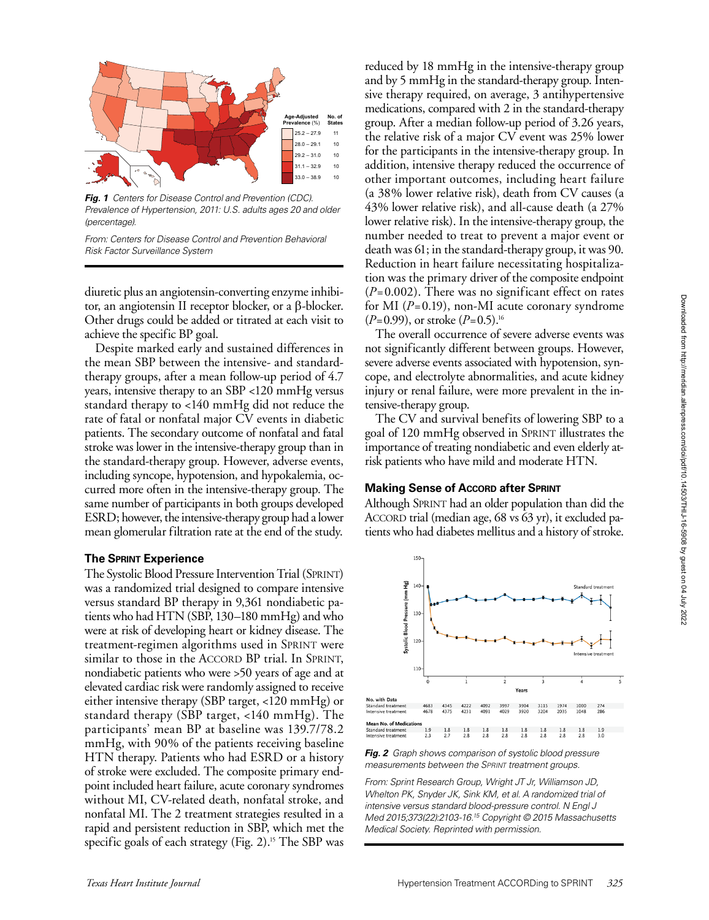

*Fig. 1 Centers for Disease Control and Prevention (CDC). Prevalence of Hypertension, 2011: U.S. adults ages 20 and older (percentage).* 

*From: Centers for Disease Control and Prevention Behavioral Risk Factor Surveillance System*

diuretic plus an angiotensin-converting enzyme inhibitor, an angiotensin II receptor blocker, or a β-blocker. Other drugs could be added or titrated at each visit to achieve the specific BP goal.

Despite marked early and sustained differences in the mean SBP between the intensive- and standardtherapy groups, after a mean follow-up period of 4.7 years, intensive therapy to an SBP <120 mmHg versus standard therapy to <140 mmHg did not reduce the rate of fatal or nonfatal major CV events in diabetic patients. The secondary outcome of nonfatal and fatal stroke was lower in the intensive-therapy group than in the standard-therapy group. However, adverse events, including syncope, hypotension, and hypokalemia, occurred more often in the intensive-therapy group. The same number of participants in both groups developed ESRD; however, the intensive-therapy group had a lower mean glomerular filtration rate at the end of the study.

### **The Sprint Experience**

The Systolic Blood Pressure Intervention Trial (SPRINT) was a randomized trial designed to compare intensive versus standard BP therapy in 9,361 nondiabetic patients who had HTN (SBP, 130–180 mmHg) and who were at risk of developing heart or kidney disease. The treatment-regimen algorithms used in Sprint were similar to those in the ACCORD BP trial. In SPRINT, nondiabetic patients who were >50 years of age and at elevated cardiac risk were randomly assigned to receive either intensive therapy (SBP target, <120 mmHg) or standard therapy (SBP target, <140 mmHg). The participants' mean BP at baseline was 139.7/78.2 mmHg, with 90% of the patients receiving baseline HTN therapy. Patients who had ESRD or a history of stroke were excluded. The composite primary endpoint included heart failure, acute coronary syndromes without MI, CV-related death, nonfatal stroke, and nonfatal MI. The 2 treatment strategies resulted in a rapid and persistent reduction in SBP, which met the specific goals of each strategy (Fig. 2).<sup>15</sup> The SBP was

reduced by 18 mmHg in the intensive-therapy group and by 5 mmHg in the standard-therapy group. Intensive therapy required, on average, 3 antihypertensive medications, compared with 2 in the standard-therapy group. After a median follow-up period of 3.26 years, the relative risk of a major CV event was 25% lower for the participants in the intensive-therapy group. In addition, intensive therapy reduced the occurrence of other important outcomes, including heart failure (a 38% lower relative risk), death from CV causes (a 43% lower relative risk), and all-cause death (a 27% lower relative risk). In the intensive-therapy group, the number needed to treat to prevent a major event or death was 61; in the standard-therapy group, it was 90. Reduction in heart failure necessitating hospitalization was the primary driver of the composite endpoint (*P*=0.002). There was no significant effect on rates for MI (*P*=0.19), non-MI acute coronary syndrome (*P*=0.99), or stroke (*P*=0.5).16

The overall occurrence of severe adverse events was not significantly different between groups. However, severe adverse events associated with hypotension, syncope, and electrolyte abnormalities, and acute kidney injury or renal failure, were more prevalent in the intensive-therapy group.

The CV and survival benefits of lowering SBP to a goal of 120 mmHg observed in Sprint illustrates the importance of treating nondiabetic and even elderly atrisk patients who have mild and moderate HTN.

## **Making Sense of Accord after Sprint**

Although Sprint had an older population than did the ACCORD trial (median age, 68 vs 63 yr), it excluded patients who had diabetes mellitus and a history of stroke.



*Fig. 2 Graph shows comparison of systolic blood pressure measurements between the Sprint treatment groups.* 

*From: Sprint Research Group, Wright JT Jr, Williamson JD, Whelton PK, Snyder JK, Sink KM, et al. A randomized trial of intensive versus standard blood-pressure control. N Engl J Med 2015;373(22):2103-16.15 Copyright © 2015 Massachusetts Medical Society. Reprinted with permission.*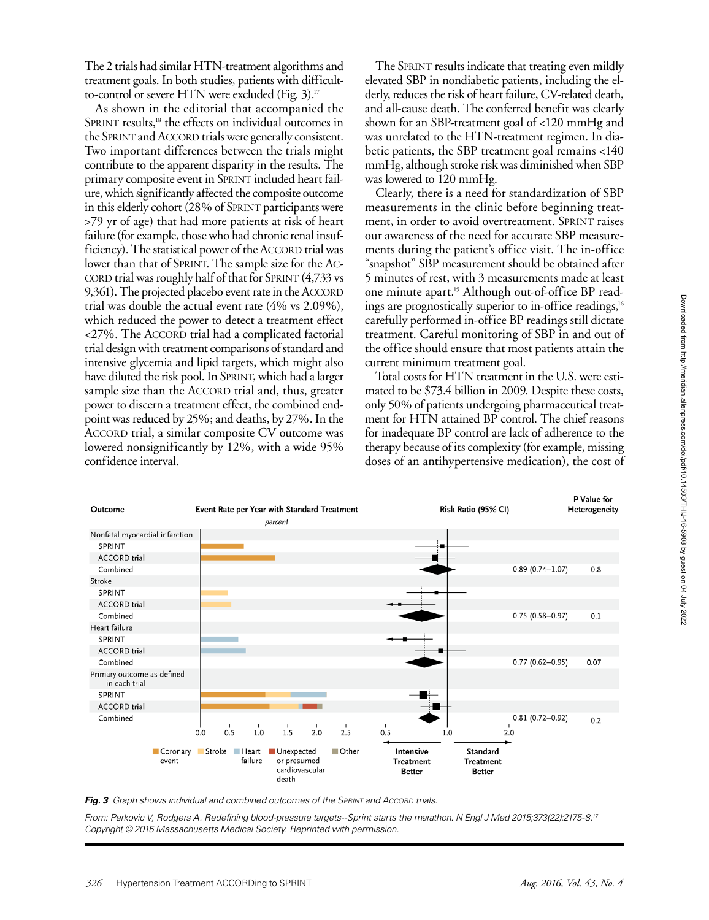The 2 trials had similar HTN-treatment algorithms and treatment goals. In both studies, patients with difficultto-control or severe HTN were excluded (Fig. 3).<sup>17</sup>

As shown in the editorial that accompanied the SPRINT results,<sup>18</sup> the effects on individual outcomes in the SPRINT and ACCORD trials were generally consistent. Two important differences between the trials might contribute to the apparent disparity in the results. The primary composite event in SPRINT included heart failure, which significantly affected the composite outcome in this elderly cohort (28% of SPRINT participants were >79 yr of age) that had more patients at risk of heart failure (for example, those who had chronic renal insufficiency). The statistical power of the ACCORD trial was lower than that of SPRINT. The sample size for the AC-CORD trial was roughly half of that for SPRINT  $(4,733 \text{ vs } 1)$ 9,361). The projected placebo event rate in the ACCORD trial was double the actual event rate (4% vs 2.09%), which reduced the power to detect a treatment effect <27%. The Accord trial had a complicated factorial trial design with treatment comparisons of standard and intensive glycemia and lipid targets, which might also have diluted the risk pool. In SPRINT, which had a larger sample size than the ACCORD trial and, thus, greater power to discern a treatment effect, the combined endpoint was reduced by 25%; and deaths, by 27%. In the ACCORD trial, a similar composite CV outcome was lowered nonsignificantly by 12%, with a wide 95% confidence interval.

The SPRINT results indicate that treating even mildly elevated SBP in nondiabetic patients, including the elderly, reduces the risk of heart failure, CV-related death, and all-cause death. The conferred benefit was clearly shown for an SBP-treatment goal of <120 mmHg and was unrelated to the HTN-treatment regimen. In diabetic patients, the SBP treatment goal remains <140 mmHg, although stroke risk was diminished when SBP was lowered to 120 mmHg.

Clearly, there is a need for standardization of SBP measurements in the clinic before beginning treatment, in order to avoid overtreatment. SPRINT raises our awareness of the need for accurate SBP measurements during the patient's office visit. The in-office "snapshot" SBP measurement should be obtained after 5 minutes of rest, with 3 measurements made at least one minute apart.19 Although out-of-office BP readings are prognostically superior to in-office readings,<sup>16</sup> carefully performed in-office BP readings still dictate treatment. Careful monitoring of SBP in and out of the office should ensure that most patients attain the current minimum treatment goal.

Total costs for HTN treatment in the U.S. were estimated to be \$73.4 billion in 2009. Despite these costs, only 50% of patients undergoing pharmaceutical treatment for HTN attained BP control. The chief reasons for inadequate BP control are lack of adherence to the therapy because of its complexity (for example, missing doses of an antihypertensive medication), the cost of



*Fig. 3 Graph shows individual and combined outcomes of the Sprint and Accord trials.* 

*From: Perkovic V, Rodgers A. Redefining blood-pressure targets--Sprint starts the marathon. N Engl J Med 2015;373(22):2175-8.17 Copyright © 2015 Massachusetts Medical Society. Reprinted with permission.*